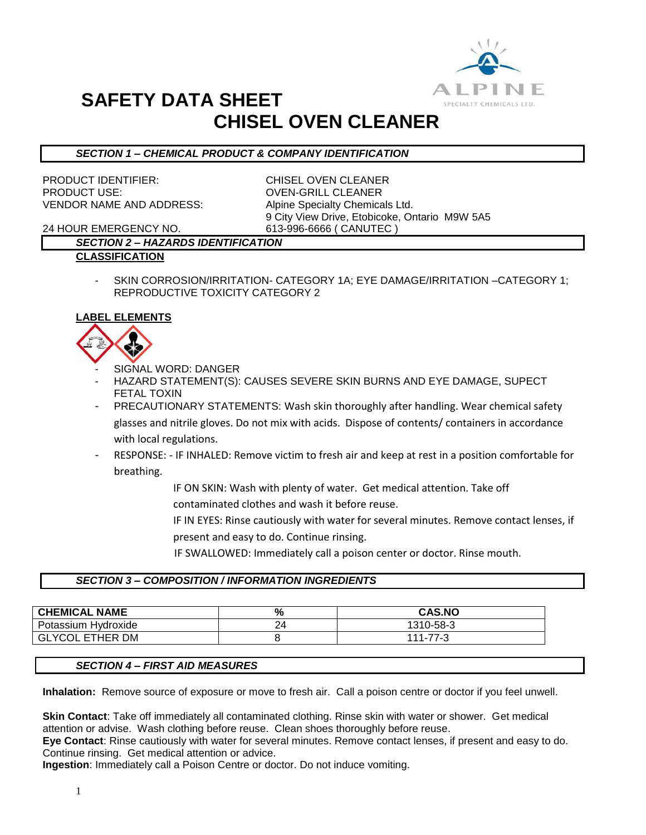

# **SAFETY DATA SHEET CHISEL OVEN CLEANER**

### *SECTION 1 – CHEMICAL PRODUCT & COMPANY IDENTIFICATION*

PRODUCT IDENTIFIER: CHISEL OVEN CLEANER PRODUCT USE: OVEN-GRILL CLEANER VENDOR NAME AND ADDRESS: Alpine Specialty Chemicals Ltd.

9 City View Drive, Etobicoke, Ontario M9W 5A5

24 HOUR EMERGENCY NO. 613-996-6666 ( CANUTEC )

## *SECTION 2 – HAZARDS IDENTIFICATION*

- **CLASSIFICATION**
	- SKIN CORROSION/IRRITATION- CATEGORY 1A; EYE DAMAGE/IRRITATION –CATEGORY 1; REPRODUCTIVE TOXICITY CATEGORY 2

### **LABEL ELEMENTS**



- SIGNAL WORD: DANGER
- HAZARD STATEMENT(S): CAUSES SEVERE SKIN BURNS AND EYE DAMAGE, SUPECT FETAL TOXIN
- PRECAUTIONARY STATEMENTS: Wash skin thoroughly after handling. Wear chemical safety glasses and nitrile gloves. Do not mix with acids. Dispose of contents/ containers in accordance with local regulations.
- RESPONSE: IF INHALED: Remove victim to fresh air and keep at rest in a position comfortable for breathing.
	- IF ON SKIN: Wash with plenty of water. Get medical attention. Take off contaminated clothes and wash it before reuse.
	- IF IN EYES: Rinse cautiously with water for several minutes. Remove contact lenses, if present and easy to do. Continue rinsing.
		- IF SWALLOWED: Immediately call a poison center or doctor. Rinse mouth.

#### *SECTION 3 – COMPOSITION / INFORMATION INGREDIENTS*

| <b>CHEMICAL NAME</b>           | $\mathbf{0}$<br>7ο | <b>CAS.NO</b> |
|--------------------------------|--------------------|---------------|
| · Hvdroxide<br>Potassium       |                    | 1310-58-3     |
| GLYCOL<br><b>ETHER</b><br>. DM |                    | 111-77-3      |

#### *SECTION 4 – FIRST AID MEASURES*

**Inhalation:** Remove source of exposure or move to fresh air. Call a poison centre or doctor if you feel unwell.

**Skin Contact**: Take off immediately all contaminated clothing. Rinse skin with water or shower. Get medical attention or advise. Wash clothing before reuse. Clean shoes thoroughly before reuse.

**Eye Contact**: Rinse cautiously with water for several minutes. Remove contact lenses, if present and easy to do. Continue rinsing. Get medical attention or advice.

**Ingestion**: Immediately call a Poison Centre or doctor. Do not induce vomiting.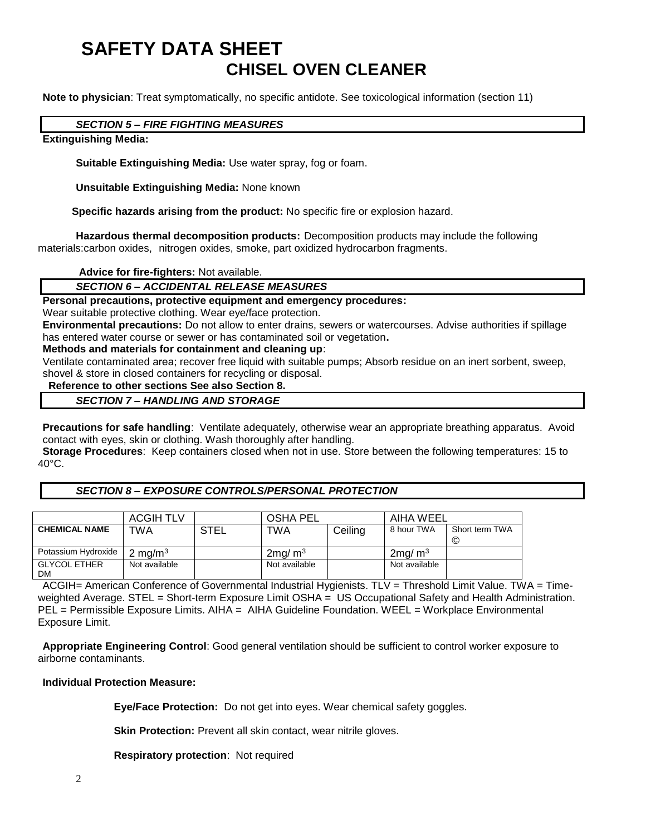# **SAFETY DATA SHEET CHISEL OVEN CLEANER**

**Note to physician**: Treat symptomatically, no specific antidote. See toxicological information (section 11)

#### *SECTION 5 – FIRE FIGHTING MEASURES*

#### **Extinguishing Media:**

**Suitable Extinguishing Media:** Use water spray, fog or foam.

**Unsuitable Extinguishing Media:** None known

 **Specific hazards arising from the product:** No specific fire or explosion hazard.

**Hazardous thermal decomposition products:** Decomposition products may include the following materials:carbon oxides, nitrogen oxides, smoke, part oxidized hydrocarbon fragments.

**Advice for fire-fighters:** Not available.

#### *SECTION 6 – ACCIDENTAL RELEASE MEASURES*

**Personal precautions, protective equipment and emergency procedures:**

Wear suitable protective clothing. Wear eye/face protection.

**Environmental precautions:** Do not allow to enter drains, sewers or watercourses. Advise authorities if spillage has entered water course or sewer or has contaminated soil or vegetation**.** 

**Methods and materials for containment and cleaning up**:

Ventilate contaminated area; recover free liquid with suitable pumps; Absorb residue on an inert sorbent, sweep, shovel & store in closed containers for recycling or disposal.

 **Reference to other sections See also Section 8.**

## *SECTION 7 – HANDLING AND STORAGE*

**Precautions for safe handling**: Ventilate adequately, otherwise wear an appropriate breathing apparatus. Avoid contact with eyes, skin or clothing. Wash thoroughly after handling.

**Storage Procedures**: Keep containers closed when not in use. Store between the following temperatures: 15 to 40°C.

#### *SECTION 8 – EXPOSURE CONTROLS/PERSONAL PROTECTION*

|                                  | ACGIH TLV          |      | <b>OSHA PEL</b>    |         | AIHA WEEL             |                     |
|----------------------------------|--------------------|------|--------------------|---------|-----------------------|---------------------|
| <b>CHEMICAL NAME</b>             | TWA                | STEL | TWA                | Ceiling | 8 hour TWA            | Short term TWA<br>© |
| Potassium Hydroxide              | $2 \text{ mg/m}^3$ |      | 2mg/m <sup>3</sup> |         | $2$ mg/m <sup>3</sup> |                     |
| <b>GLYCOL ETHER</b><br><b>DM</b> | Not available      |      | Not available      |         | Not available         |                     |

ACGIH= American Conference of Governmental Industrial Hygienists. TLV = Threshold Limit Value. TWA = Timeweighted Average. STEL = Short-term Exposure Limit OSHA = US Occupational Safety and Health Administration. PEL = Permissible Exposure Limits. AIHA = AIHA Guideline Foundation. WEEL = Workplace Environmental Exposure Limit.

**Appropriate Engineering Control**: Good general ventilation should be sufficient to control worker exposure to airborne contaminants.

#### **Individual Protection Measure:**

**Eye/Face Protection:** Do not get into eyes. Wear chemical safety goggles.

**Skin Protection:** Prevent all skin contact, wear nitrile gloves.

**Respiratory protection**: Not required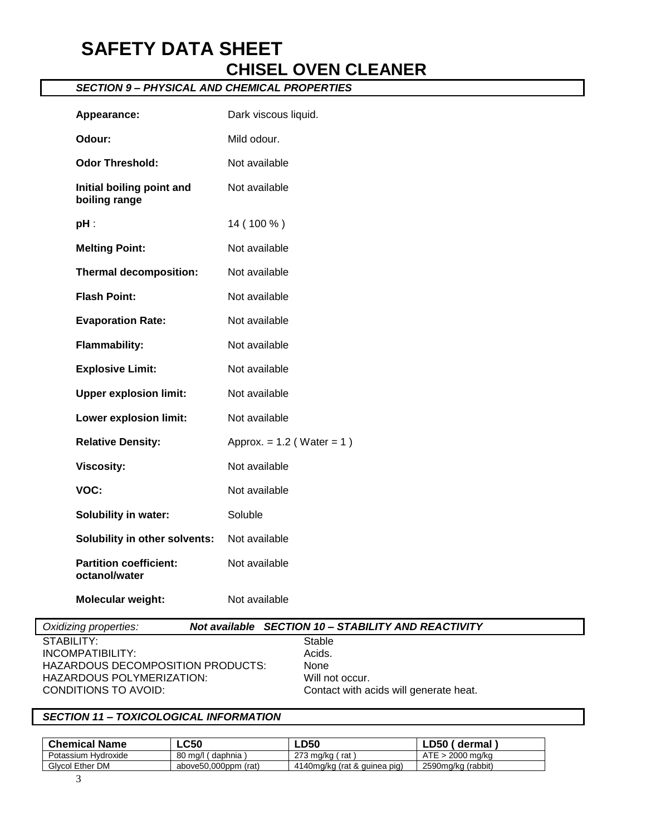## **SAFETY DATA SHEET CHISEL OVEN CLEANER**

## *SECTION 9 – PHYSICAL AND CHEMICAL PROPERTIES*

| Appearance:                                    | Dark viscous liquid.           |
|------------------------------------------------|--------------------------------|
| Odour:                                         | Mild odour.                    |
| <b>Odor Threshold:</b>                         | Not available                  |
| Initial boiling point and<br>boiling range     | Not available                  |
| $pH$ :                                         | 14 (100 %)                     |
| <b>Melting Point:</b>                          | Not available                  |
| <b>Thermal decomposition:</b>                  | Not available                  |
| <b>Flash Point:</b>                            | Not available                  |
| <b>Evaporation Rate:</b>                       | Not available                  |
| <b>Flammability:</b>                           | Not available                  |
| <b>Explosive Limit:</b>                        | Not available                  |
| <b>Upper explosion limit:</b>                  | Not available                  |
| Lower explosion limit:                         | Not available                  |
| <b>Relative Density:</b>                       | Approx. = $1.2$ (Water = $1$ ) |
| <b>Viscosity:</b>                              | Not available                  |
| VOC:                                           | Not available                  |
| <b>Solubility in water:</b>                    | Soluble                        |
| Solubility in other solvents:                  | Not available                  |
| <b>Partition coefficient:</b><br>octanol/water | Not available                  |
| Molecular weight:                              | Not available                  |

## *Oxidizing properties: Not available SECTION 10 – STABILITY AND REACTIVITY*

STABILITY: Stable<br>
INCOMPATIBILITY: Stable<br>
Acids. INCOMPATIBILITY: HAZARDOUS DECOMPOSITION PRODUCTS: None HAZARDOUS POLYMERIZATION: Will not occur.<br>CONDITIONS TO AVOID: CONDITIONS ON

Contact with acids will generate heat.

#### *SECTION 11 – TOXICOLOGICAL INFORMATION*

| <b>Chemical Name</b> | <b>LC50</b>          | <b>LD50</b>                  | LD50 $^{\prime}$<br>ˈ dermal |
|----------------------|----------------------|------------------------------|------------------------------|
| Potassium Hydroxide  | 80 mg/l (daphnia)    | 273 mg/kg (rat)              | ATE > 2000 ma/ka             |
| Glycol Ether DM      | above50.000ppm (rat) | 4140mg/kg (rat & guinea pig) | 2590mg/kg (rabbit)           |